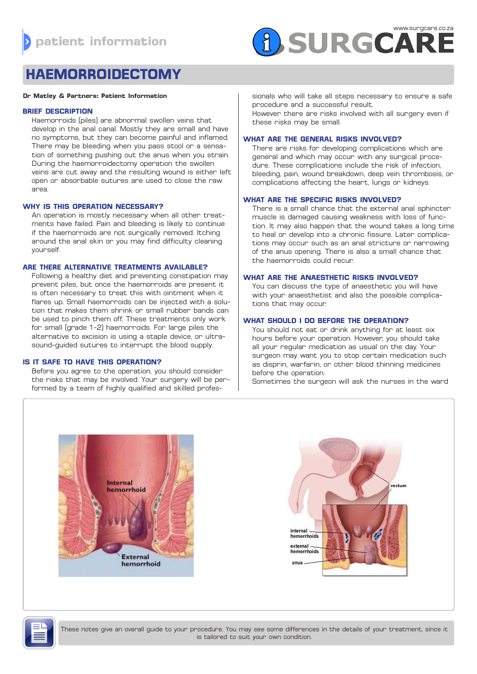

# **HAEMORROIDECTOMY**

#### **Dr Matley & Partners: Patient Information**

#### **BRIEF DESCRIPTION**

Haemorroids (piles) are abnormal swollen veins that develop in the anal canal. Mostly they are small and have no symptoms, but they can become painful and inflamed. There may be bleeding when you pass stool or a sensation of something pushing out the anus when you strain. During the haemorroidectomy operation the swollen veins are cut away and the resulting wound is either left open or absorbable sutures are used to close the raw area.

## **WHY IS THIS OPERATION NECESSARY?**

An operation is mostly necessary when all other treatments have failed. Pain and bleeding is likely to continue if the haemorroids are not surgically removed. Itching around the anal skin or you may find difficulty cleaning yourself.

#### **ARE THERE ALTERNATIVE TREATMENTS AVAILABLE?**

Following a healthy diet and preventing constipation may prevent piles, but once the haemorroids are present it is often necessary to treat this with ointment when it flares up. Small haemorroids can be injected with a solution that makes them shrink or small rubber bands can be used to pinch them off. These treatments only work for small (grade 1-2) haemorroids. For large piles the alternative to excision is using a staple device, or ultrasound-guided sutures to interrupt the blood supply.

#### **IS IT SAFE TO HAVE THIS OPERATION?**

Before you agree to the operation, you should consider the risks that may be involved. Your surgery will be performed by a team of highly qualified and skilled professionals who will take all steps necessary to ensure a safe procedure and a successful result.

However there are risks involved with all surgery even if these risks may be small.

#### **WHAT ARE THE GENERAL RISKS INVOLVED?**

There are risks for developing complications which are general and which may occur with any surgical procedure. These complications include the risk of infection, bleeding, pain, wound breakdown, deep vein thrombosis, or complications affecting the heart, lungs or kidneys.

#### **WHAT ARE THE SPECIFIC RISKS INVOLVED?**

There is a small chance that the external anal sphincter muscle is damaged causing weakness with loss of function. It may also happen that the wound takes a long time to heal or develop into a chronic fissure. Later complications may occur such as an anal stricture or narrowing of the anus opening. There is also a small chance that the haemorroids could recur.

## **WHAT ARE THE ANAESTHETIC RISKS INVOLVED?**

You can discuss the type of anaesthetic you will have with your anaesthetist and also the possible complications that may occur.

#### **WHAT SHOULD I DO BEFORE THE OPERATION?**

You should not eat or drink anything for at least six hours before your operation. However, you should take all your regular medication as usual on the day. Your surgeon may want you to stop certain medication such as disprin, warfarin, or other blood thinning medicines before the operation.

Sometimes the surgeon will ask the nurses in the ward







These notes give an overall guide to your procedure. You may see some differences in the details of your treatment, since it is tailored to suit your own condition.